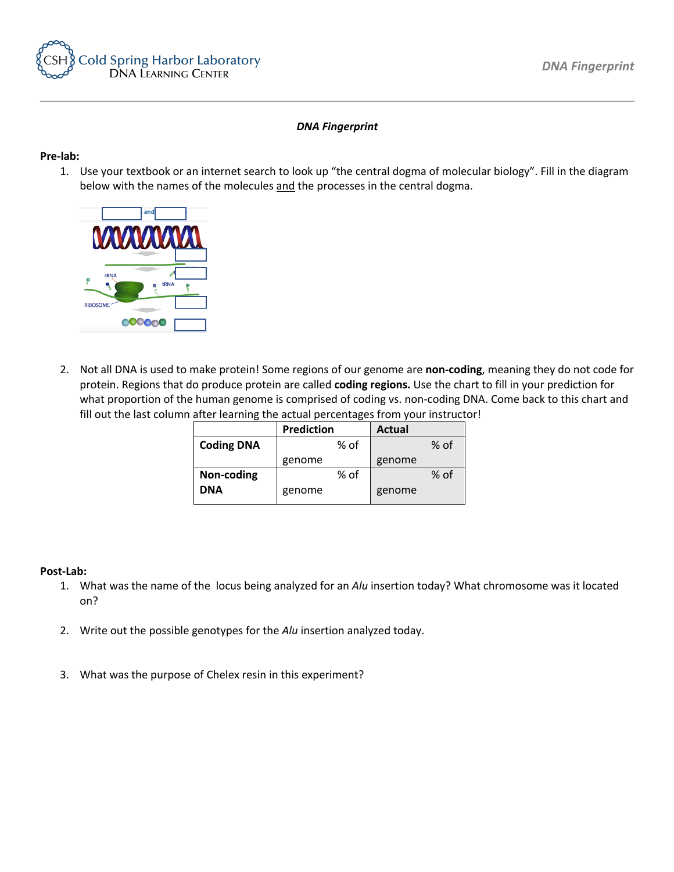

## *DNA Fingerprint*

*\_\_\_\_\_\_\_\_\_\_\_\_\_\_\_\_\_\_\_\_\_\_\_\_\_\_\_\_\_\_\_\_\_\_\_\_\_\_\_\_\_\_\_\_\_\_\_\_\_\_\_\_\_\_\_\_\_\_\_\_\_\_\_\_\_\_\_\_\_\_\_\_\_\_\_\_\_\_\_\_\_\_\_\_\_\_\_\_\_\_*

## **Pre-lab:**

1. Use your textbook or an internet search to look up "the central dogma of molecular biology". Fill in the diagram below with the names of the molecules and the processes in the central dogma.



2. Not all DNA is used to make protein! Some regions of our genome are **non-coding**, meaning they do not code for protein. Regions that do produce protein are called **coding regions.** Use the chart to fill in your prediction for what proportion of the human genome is comprised of coding vs. non-coding DNA. Come back to this chart and fill out the last column after learning the actual percentages from your instructor!

|                   | <b>Prediction</b> |      | <b>Actual</b> |      |
|-------------------|-------------------|------|---------------|------|
| <b>Coding DNA</b> |                   | % of |               | % of |
|                   | genome            |      | genome        |      |
| Non-coding        |                   | % of |               | % of |
| <b>DNA</b>        | genome            |      | genome        |      |

## **Post-Lab:**

- 1. What was the name of the locus being analyzed for an *Alu* insertion today? What chromosome was it located on?
- 2. Write out the possible genotypes for the *Alu* insertion analyzed today.
- 3. What was the purpose of Chelex resin in this experiment?